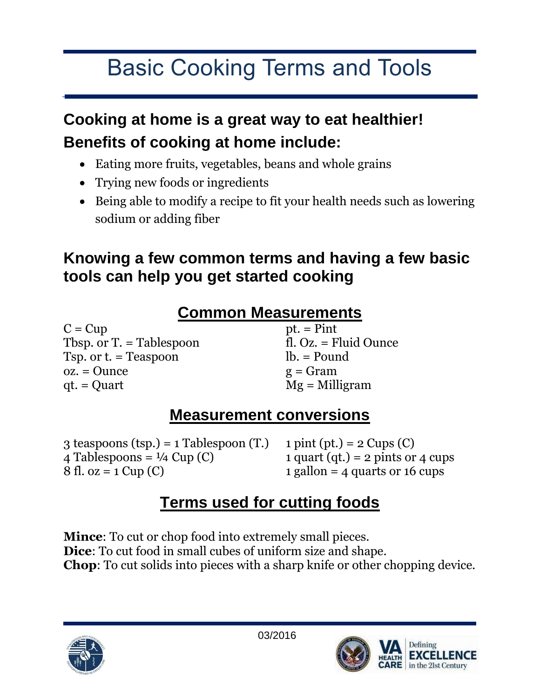# Basic Cooking Terms and Tools

# **Cooking at home is a great way to eat healthier! Benefits of cooking at home include:**

- Eating more fruits, vegetables, beans and whole grains
- Trying new foods or ingredients
- Being able to modify a recipe to fit your health needs such as lowering sodium or adding fiber

#### **Knowing a few common terms and having a few basic tools can help you get started cooking**

#### **Common Measurements**

 $C = Cup$ Tbsp. or T. = Tablespoon Tsp. or t. = Teaspoon oz. = Ounce qt. = Quart

pt. = Pint fl. Oz. = Fluid Ounce lb. = Pound  $g = Gram$ Mg = Milligram

### **Measurement conversions**

3 teaspoons (tsp.) = 1 Tablespoon (T.) 4 Tablespoons =  $\frac{1}{4}$  Cup (C) 8 fl. oz =  $1$  Cup (C)

1 pint (pt.) =  $2 \text{ Cups}$  (C) 1 quart (qt.) = 2 pints or 4 cups 1 gallon  $=$  4 quarts or 16 cups

### **Terms used for cutting foods**

**Mince**: To cut or chop food into extremely small pieces. **Dice**: To cut food in small cubes of uniform size and shape. **Chop**: To cut solids into pieces with a sharp knife or other chopping device.